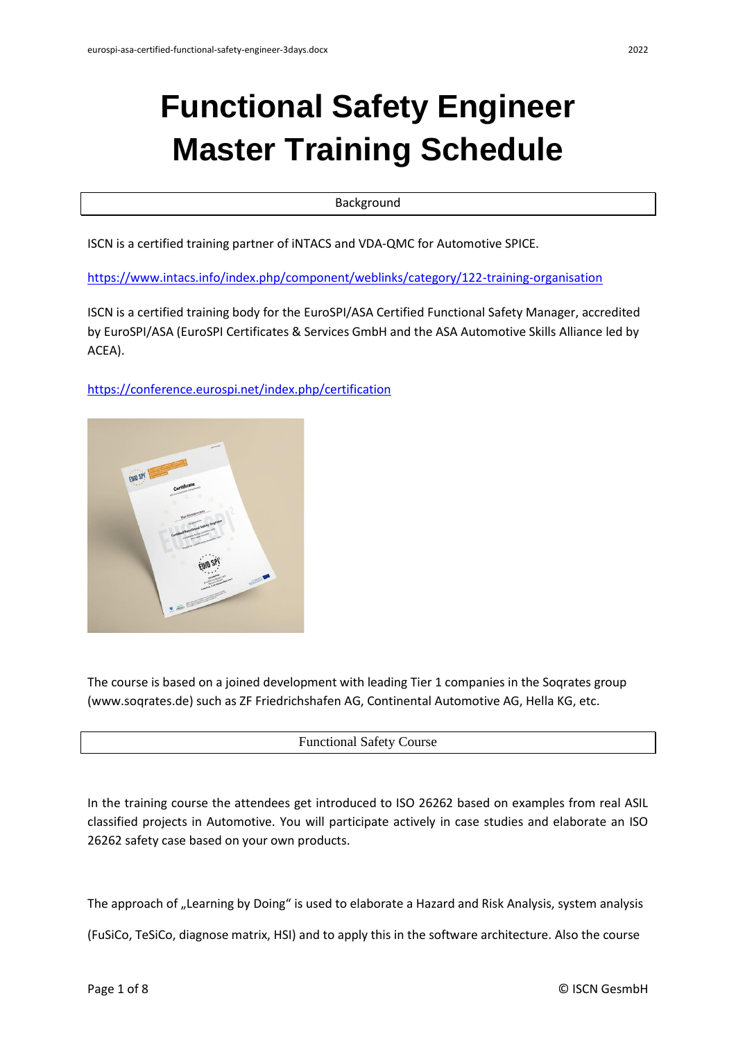# **Functional Safety Engineer Master Training Schedule**

Background

ISCN is a certified training partner of iNTACS and VDA-QMC for Automotive SPICE.

<https://www.intacs.info/index.php/component/weblinks/category/122-training-organisation>

ISCN is a certified training body for the EuroSPI/ASA Certified Functional Safety Manager, accredited by EuroSPI/ASA (EuroSPI Certificates & Services GmbH and the ASA Automotive Skills Alliance led by ACEA).

<https://conference.eurospi.net/index.php/certification>



The course is based on a joined development with leading Tier 1 companies in the Soqrates group (www.soqrates.de) such as ZF Friedrichshafen AG, Continental Automotive AG, Hella KG, etc.

#### Functional Safety Course

In the training course the attendees get introduced to ISO 26262 based on examples from real ASIL classified projects in Automotive. You will participate actively in case studies and elaborate an ISO 26262 safety case based on your own products.

The approach of "Learning by Doing" is used to elaborate a Hazard and Risk Analysis, system analysis

(FuSiCo, TeSiCo, diagnose matrix, HSI) and to apply this in the software architecture. Also the course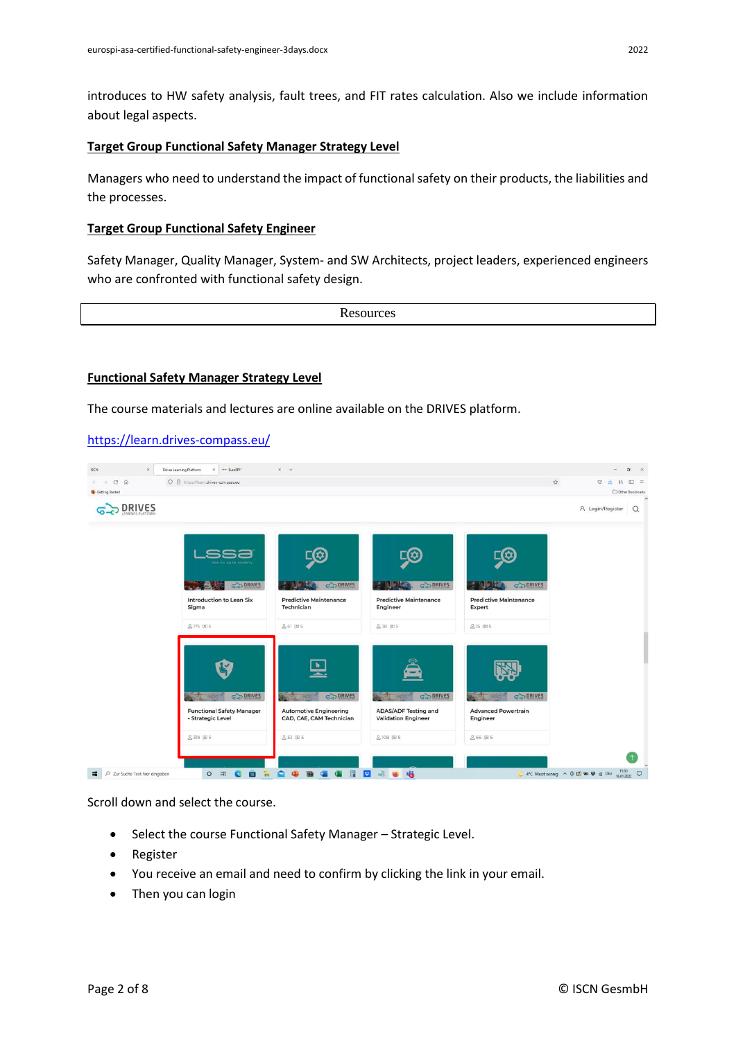introduces to HW safety analysis, fault trees, and FIT rates calculation. Also we include information about legal aspects.

#### **Target Group Functional Safety Manager Strategy Level**

Managers who need to understand the impact of functional safety on their products, the liabilities and the processes.

#### **Target Group Functional Safety Engineer**

Safety Manager, Quality Manager, System- and SW Architects, project leaders, experienced engineers who are confronted with functional safety design.

**Resources** 

#### **Functional Safety Manager Strategy Level**

The course materials and lectures are online available on the DRIVES platform.

#### <https://learn.drives-compass.eu/>



Scroll down and select the course.

- Select the course Functional Safety Manager Strategic Level.
- Register
- You receive an email and need to confirm by clicking the link in your email.
- Then you can login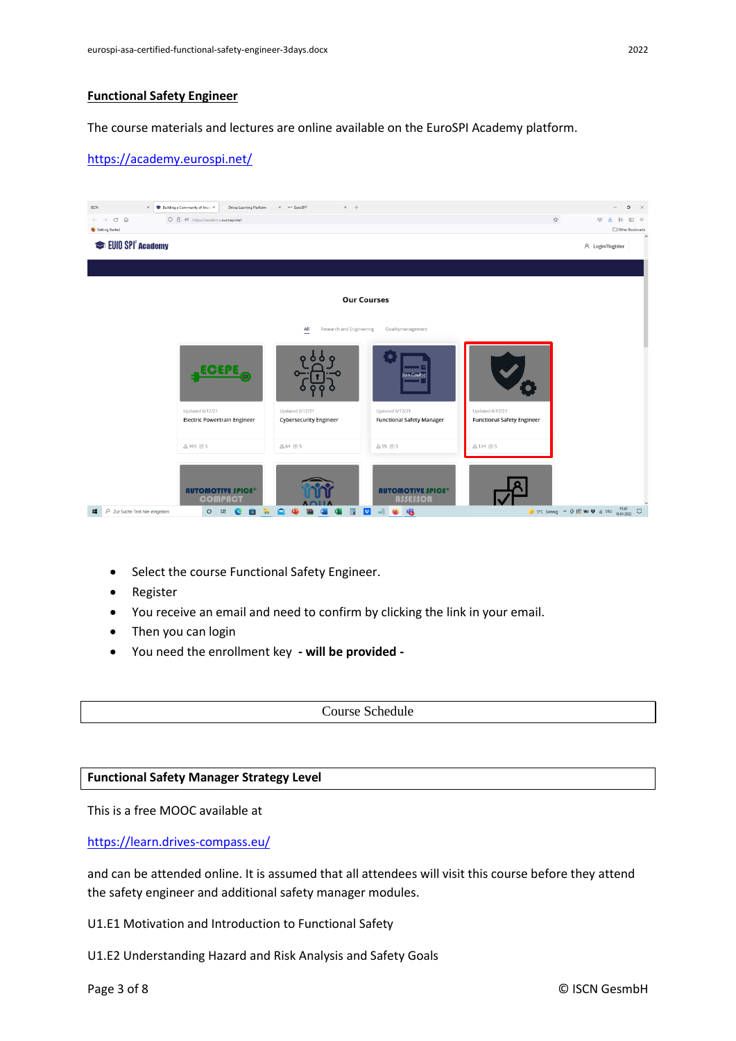# **Functional Safety Engineer**

The course materials and lectures are online available on the EuroSPI Academy platform.

# <https://academy.eurospi.net/>



- Select the course Functional Safety Engineer.
- Register
- You receive an email and need to confirm by clicking the link in your email.
- Then you can login
- You need the enrollment key **- will be provided -**

Course Schedule

#### **Functional Safety Manager Strategy Level**

This is a free MOOC available at

<https://learn.drives-compass.eu/>

and can be attended online. It is assumed that all attendees will visit this course before they attend the safety engineer and additional safety manager modules.

U1.E1 Motivation and Introduction to Functional Safety

U1.E2 Understanding Hazard and Risk Analysis and Safety Goals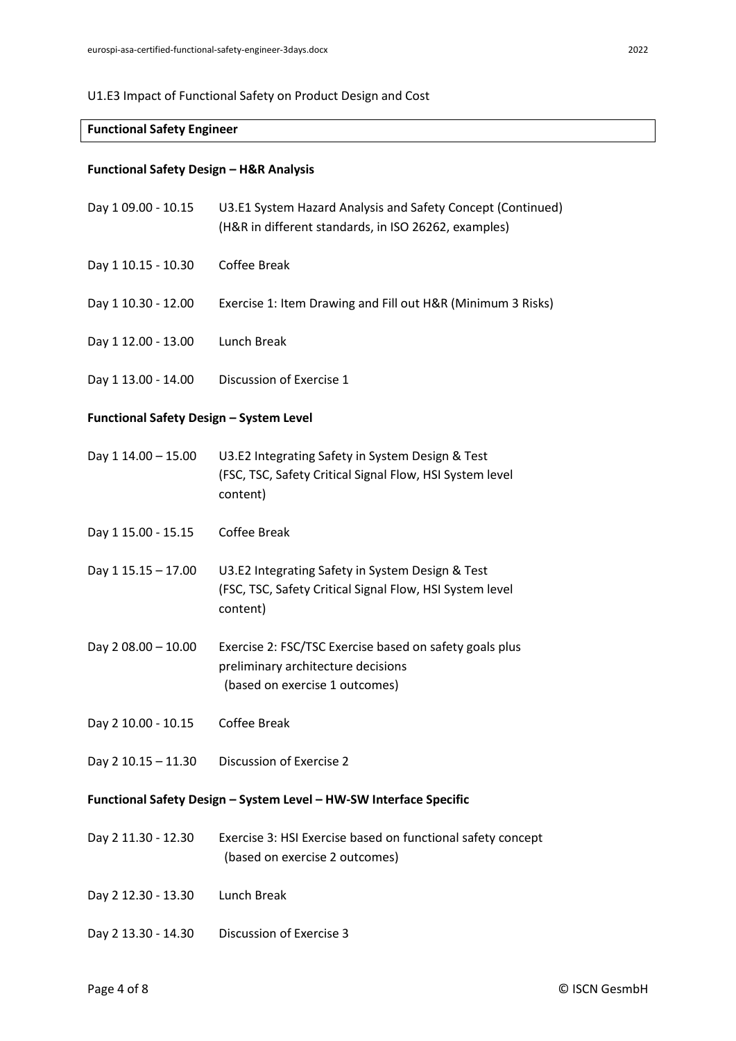# U1.E3 Impact of Functional Safety on Product Design and Cost

# **Functional Safety Engineer**

# **Functional Safety Design – H&R Analysis**

| Day 1 09.00 - 10.15                                                | U3.E1 System Hazard Analysis and Safety Concept (Continued)<br>(H&R in different standards, in ISO 26262, examples)             |  |
|--------------------------------------------------------------------|---------------------------------------------------------------------------------------------------------------------------------|--|
| Day 1 10.15 - 10.30                                                | Coffee Break                                                                                                                    |  |
| Day 1 10.30 - 12.00                                                | Exercise 1: Item Drawing and Fill out H&R (Minimum 3 Risks)                                                                     |  |
| Day 1 12.00 - 13.00                                                | Lunch Break                                                                                                                     |  |
| Day 1 13.00 - 14.00                                                | Discussion of Exercise 1                                                                                                        |  |
| <b>Functional Safety Design - System Level</b>                     |                                                                                                                                 |  |
| Day 1 14.00 - 15.00                                                | U3.E2 Integrating Safety in System Design & Test<br>(FSC, TSC, Safety Critical Signal Flow, HSI System level<br>content)        |  |
| Day 1 15.00 - 15.15                                                | Coffee Break                                                                                                                    |  |
| Day 1 15.15 - 17.00                                                | U3.E2 Integrating Safety in System Design & Test<br>(FSC, TSC, Safety Critical Signal Flow, HSI System level<br>content)        |  |
| Day 2 08.00 - 10.00                                                | Exercise 2: FSC/TSC Exercise based on safety goals plus<br>preliminary architecture decisions<br>(based on exercise 1 outcomes) |  |
| Day 2 10.00 - 10.15                                                | <b>Coffee Break</b>                                                                                                             |  |
| Day 2 10.15 - 11.30                                                | Discussion of Exercise 2                                                                                                        |  |
| Functional Safety Design - System Level - HW-SW Interface Specific |                                                                                                                                 |  |
| Day 2 11.30 - 12.30                                                | Exercise 3: HSI Exercise based on functional safety concept<br>(based on exercise 2 outcomes)                                   |  |
| Day 2 12.30 - 13.30                                                | Lunch Break                                                                                                                     |  |
| Day 2 13.30 - 14.30                                                | Discussion of Exercise 3                                                                                                        |  |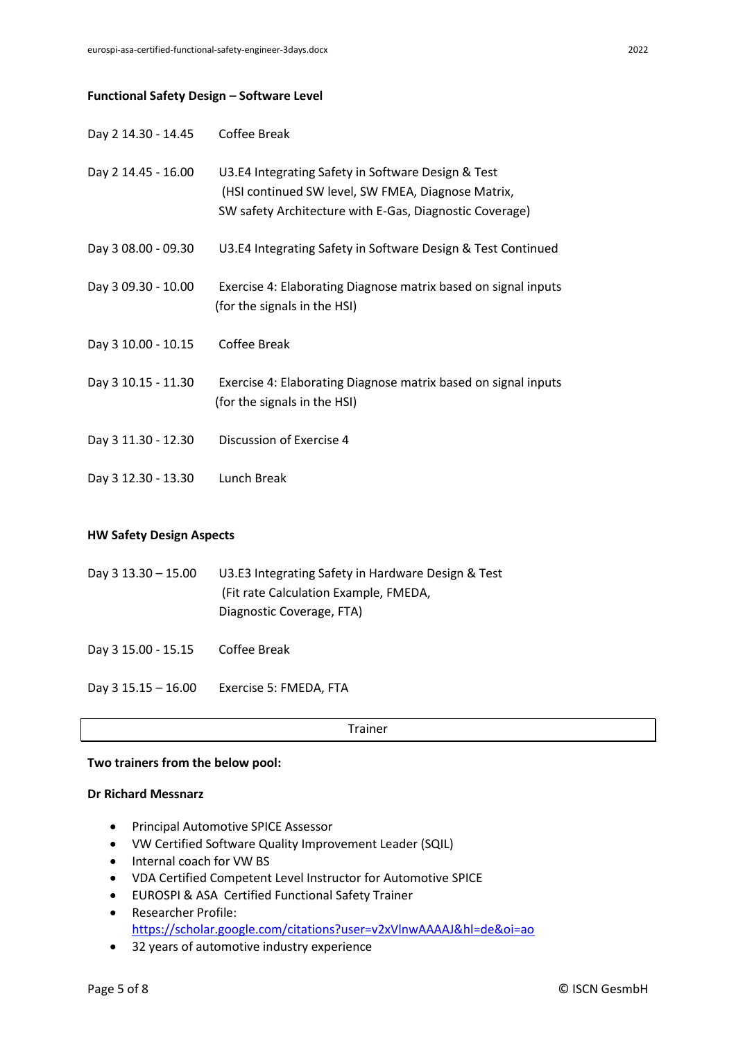#### **Functional Safety Design – Software Level**

| Day 2 14.30 - 14.45 | <b>Coffee Break</b>                                                                                                                                                 |
|---------------------|---------------------------------------------------------------------------------------------------------------------------------------------------------------------|
| Day 2 14.45 - 16.00 | U3.E4 Integrating Safety in Software Design & Test<br>(HSI continued SW level, SW FMEA, Diagnose Matrix,<br>SW safety Architecture with E-Gas, Diagnostic Coverage) |
| Day 3 08.00 - 09.30 | U3.E4 Integrating Safety in Software Design & Test Continued                                                                                                        |
| Day 3 09.30 - 10.00 | Exercise 4: Elaborating Diagnose matrix based on signal inputs<br>(for the signals in the HSI)                                                                      |
| Day 3 10.00 - 10.15 | Coffee Break                                                                                                                                                        |
| Day 3 10.15 - 11.30 | Exercise 4: Elaborating Diagnose matrix based on signal inputs<br>(for the signals in the HSI)                                                                      |
| Day 3 11.30 - 12.30 | Discussion of Exercise 4                                                                                                                                            |
| Day 3 12.30 - 13.30 | Lunch Break                                                                                                                                                         |

# **HW Safety Design Aspects**

| Day $3\,13.30 - 15.00$ | U3.E3 Integrating Safety in Hardware Design & Test |
|------------------------|----------------------------------------------------|
|                        | (Fit rate Calculation Example, FMEDA,              |
|                        | Diagnostic Coverage, FTA)                          |

Day 3 15.00 - 15.15 Coffee Break

Day 3 15.15 – 16.00 Exercise 5: FMEDA, FTA

Trainer

#### **Two trainers from the below pool:**

#### **Dr Richard Messnarz**

- Principal Automotive SPICE Assessor
- VW Certified Software Quality Improvement Leader (SQIL)
- Internal coach for VW BS
- VDA Certified Competent Level Instructor for Automotive SPICE
- EUROSPI & ASA Certified Functional Safety Trainer
- Researcher Profile: <https://scholar.google.com/citations?user=v2xVlnwAAAAJ&hl=de&oi=ao>
- 32 years of automotive industry experience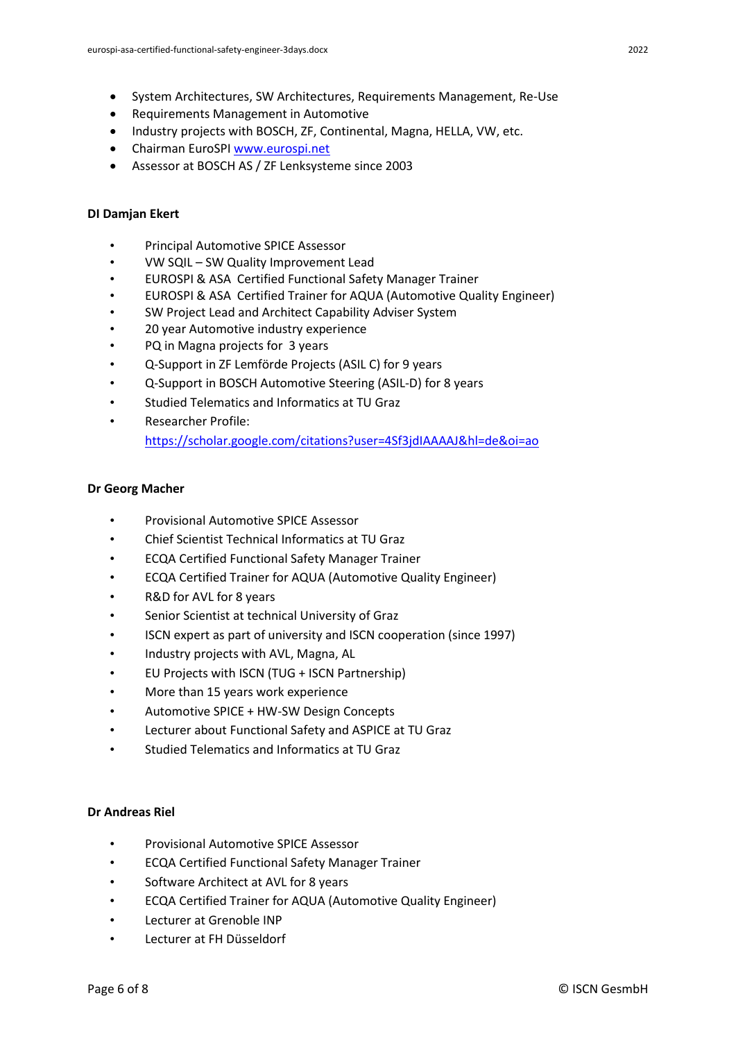- System Architectures, SW Architectures, Requirements Management, Re-Use
- Requirements Management in Automotive
- Industry projects with BOSCH, ZF, Continental, Magna, HELLA, VW, etc.
- Chairman EuroSPI [www.eurospi.net](http://www.eurospi.net/)
- Assessor at BOSCH AS / ZF Lenksysteme since 2003

# **DI Damjan Ekert**

- Principal Automotive SPICE Assessor
- VW SQIL SW Quality Improvement Lead
- EUROSPI & ASA Certified Functional Safety Manager Trainer
- EUROSPI & ASA Certified Trainer for AQUA (Automotive Quality Engineer)
- SW Project Lead and Architect Capability Adviser System
- 20 year Automotive industry experience
- PQ in Magna projects for 3 years
- Q-Support in ZF Lemförde Projects (ASIL C) for 9 years
- Q-Support in BOSCH Automotive Steering (ASIL-D) for 8 years
- Studied Telematics and Informatics at TU Graz
- Researcher Profile: <https://scholar.google.com/citations?user=4Sf3jdIAAAAJ&hl=de&oi=ao>

# **Dr Georg Macher**

- Provisional Automotive SPICE Assessor
- Chief Scientist Technical Informatics at TU Graz
- ECQA Certified Functional Safety Manager Trainer
- ECQA Certified Trainer for AQUA (Automotive Quality Engineer)
- R&D for AVL for 8 years
- Senior Scientist at technical University of Graz
- ISCN expert as part of university and ISCN cooperation (since 1997)
- Industry projects with AVL, Magna, AL
- EU Projects with ISCN (TUG + ISCN Partnership)
- More than 15 years work experience
- Automotive SPICE + HW-SW Design Concepts
- Lecturer about Functional Safety and ASPICE at TU Graz
- Studied Telematics and Informatics at TU Graz

# **Dr Andreas Riel**

- Provisional Automotive SPICE Assessor
- ECQA Certified Functional Safety Manager Trainer
- Software Architect at AVL for 8 years
- ECQA Certified Trainer for AQUA (Automotive Quality Engineer)
- Lecturer at Grenoble INP
- Lecturer at FH Düsseldorf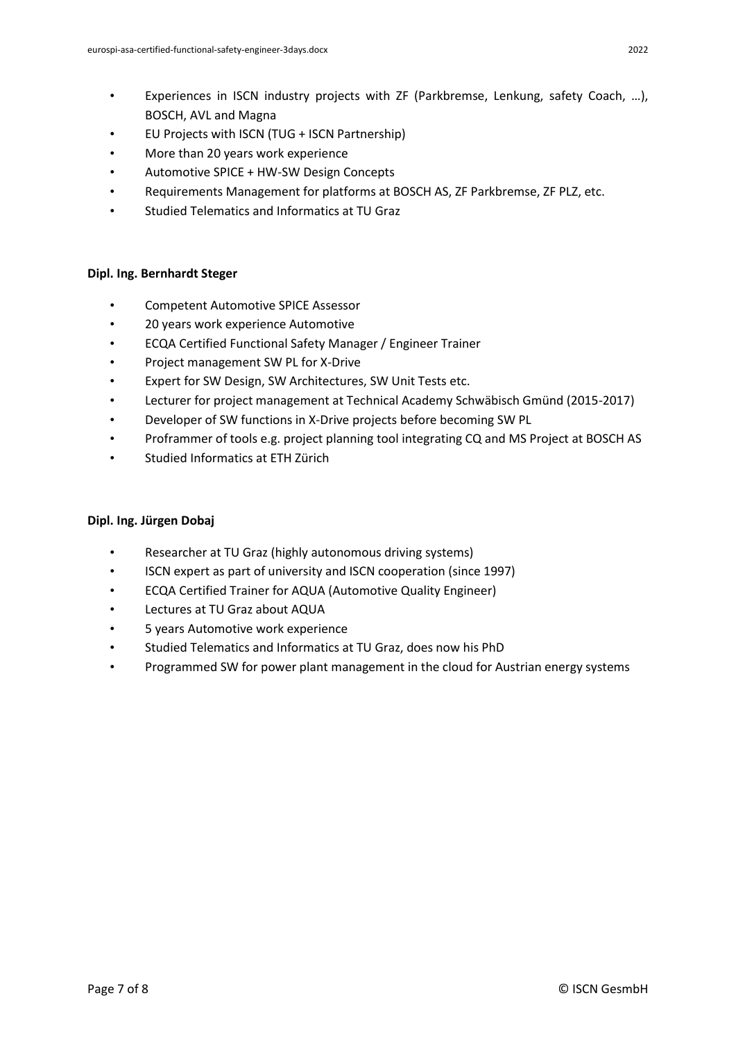- EU Projects with ISCN (TUG + ISCN Partnership)
- More than 20 years work experience
- Automotive SPICE + HW-SW Design Concepts
- Requirements Management for platforms at BOSCH AS, ZF Parkbremse, ZF PLZ, etc.
- Studied Telematics and Informatics at TU Graz

# **Dipl. Ing. Bernhardt Steger**

- Competent Automotive SPICE Assessor
- 20 years work experience Automotive
- ECQA Certified Functional Safety Manager / Engineer Trainer
- Project management SW PL for X-Drive
- Expert for SW Design, SW Architectures, SW Unit Tests etc.
- Lecturer for project management at Technical Academy Schwäbisch Gmünd (2015-2017)
- Developer of SW functions in X-Drive projects before becoming SW PL
- Proframmer of tools e.g. project planning tool integrating CQ and MS Project at BOSCH AS
- Studied Informatics at ETH Zürich

# **Dipl. Ing. Jürgen Dobaj**

- Researcher at TU Graz (highly autonomous driving systems)
- ISCN expert as part of university and ISCN cooperation (since 1997)
- ECQA Certified Trainer for AQUA (Automotive Quality Engineer)
- Lectures at TU Graz about AQUA
- 5 years Automotive work experience
- Studied Telematics and Informatics at TU Graz, does now his PhD
- Programmed SW for power plant management in the cloud for Austrian energy systems